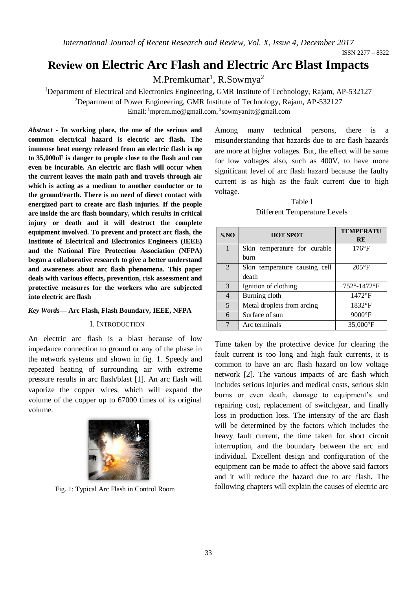*International Journal of Recent Research and Review, Vol. X, Issue 4, December 2017*

# **Review on Electric Arc Flash and Electric Arc Blast Impacts**

M.Premkumar<sup>1</sup>, R.Sowmya<sup>2</sup>

<sup>1</sup>Department of Electrical and Electronics Engineering, GMR Institute of Technology, Rajam, AP-532127

<sup>2</sup>Department of Power Engineering, GMR Institute of Technology, Rajam, AP-532127

Email: <sup>1</sup>mprem.me@gmail.com, <sup>2</sup>sowmyanitt@gmail.com

*Abstract -* **In working place, the one of the serious and common electrical hazard is electric arc flash. The immense heat energy released from an electric flash is up to 35,000oF is danger to people close to the flash and can even be incurable. An electric arc flash will occur when the current leaves the main path and travels through air which is acting as a medium to another conductor or to the ground/earth. There is no need of direct contact with energized part to create arc flash injuries. If the people are inside the arc flash boundary, which results in critical injury or death and it will destruct the complete equipment involved. To prevent and protect arc flash, the Institute of Electrical and Electronics Engineers (IEEE) and the National Fire Protection Association (NFPA) began a collaborative research to give a better understand and awareness about arc flash phenomena. This paper deals with various effects, prevention, risk assessment and protective measures for the workers who are subjected into electric arc flash**

#### *Key Words***— Arc Flash, Flash Boundary, IEEE, NFPA**

#### I. INTRODUCTION

An electric arc flash is a blast because of low impedance connection to ground or any of the phase in the network systems and shown in fig. 1. Speedy and repeated heating of surrounding air with extreme pressure results in arc flash/blast [1]. An arc flash will vaporize the copper wires, which will expand the volume of the copper up to 67000 times of its original volume.



Fig. 1: Typical Arc Flash in Control Room

Among many technical persons, there is a misunderstanding that hazards due to arc flash hazards are more at higher voltages. But, the effect will be same for low voltages also, such as 400V, to have more significant level of arc flash hazard because the faulty current is as high as the fault current due to high voltage.

Table I Different Temperature Levels

| S.NO           | <b>HOT SPOT</b>                        | <b>TEMPERATU</b><br><b>RE</b> |
|----------------|----------------------------------------|-------------------------------|
| 1              | Skin temperature for curable<br>burn   | $176^{\circ}F$                |
| 2              | Skin temperature causing cell<br>death | $205^{\circ}F$                |
| 3              | Ignition of clothing                   | 752°-1472°F                   |
| $\overline{4}$ | Burning cloth                          | $1472$ °F                     |
| 5              | Metal droplets from arcing             | $1832$ <sup>o</sup> F         |
| 6              | Surface of sun                         | $9000$ °F                     |
| 7              | Arc terminals                          | $35,000^{\circ}$ F            |

Time taken by the protective device for clearing the fault current is too long and high fault currents, it is common to have an arc flash hazard on low voltage network [2]. The various impacts of arc flash which includes serious injuries and medical costs, serious skin burns or even death, damage to equipment's and repairing cost, replacement of switchgear, and finally loss in production loss. The intensity of the arc flash will be determined by the factors which includes the heavy fault current, the time taken for short circuit interruption, and the boundary between the arc and individual. Excellent design and configuration of the equipment can be made to affect the above said factors and it will reduce the hazard due to arc flash. The following chapters will explain the causes of electric arc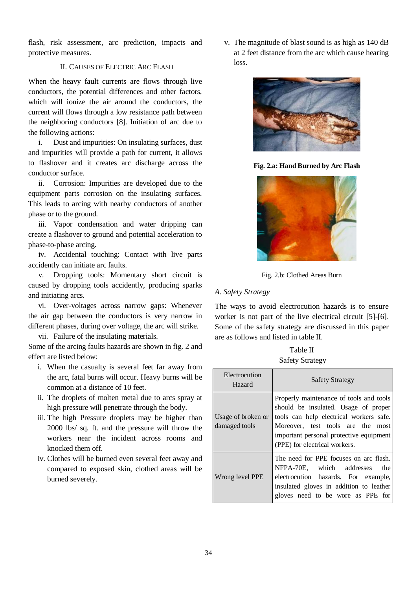flash, risk assessment, arc prediction, impacts and protective measures.

## II. CAUSES OF ELECTRIC ARC FLASH

When the heavy fault currents are flows through live conductors, the potential differences and other factors, which will ionize the air around the conductors, the current will flows through a low resistance path between the neighboring conductors [8]. Initiation of arc due to the following actions:

i. Dust and impurities: On insulating surfaces, dust and impurities will provide a path for current, it allows to flashover and it creates arc discharge across the conductor surface.

ii. Corrosion: Impurities are developed due to the equipment parts corrosion on the insulating surfaces. This leads to arcing with nearby conductors of another phase or to the ground.

iii. Vapor condensation and water dripping can create a flashover to ground and potential acceleration to phase-to-phase arcing.

iv. Accidental touching: Contact with live parts accidently can initiate arc faults.

v. Dropping tools: Momentary short circuit is caused by dropping tools accidently, producing sparks and initiating arcs.

vi. Over-voltages across narrow gaps: Whenever the air gap between the conductors is very narrow in different phases, during over voltage, the arc will strike.

vii. Failure of the insulating materials.

Some of the arcing faults hazards are shown in fig. 2 and effect are listed below:

- i. When the casualty is several feet far away from the arc, fatal burns will occur. Heavy burns will be common at a distance of 10 feet.
- ii. The droplets of molten metal due to arcs spray at high pressure will penetrate through the body.
- iii. The high Pressure droplets may be higher than 2000 lbs/ sq. ft. and the pressure will throw the workers near the incident across rooms and knocked them off.
- iv. Clothes will be burned even several feet away and compared to exposed skin, clothed areas will be burned severely.

v. The magnitude of blast sound is as high as 140 dB at 2 feet distance from the arc which cause hearing loss.



**Fig. 2.a: Hand Burned by Arc Flash**



Fig. 2.b: Clothed Areas Burn

# *A. Safety Strategy*

The ways to avoid electrocution hazards is to ensure worker is not part of the live electrical circuit [5]-[6]. Some of the safety strategy are discussed in this paper are as follows and listed in table II.

Table II Safety Strategy

| Electrocution<br>Hazard             | <b>Safety Strategy</b>                                                                                                                                                                                                                      |  |  |
|-------------------------------------|---------------------------------------------------------------------------------------------------------------------------------------------------------------------------------------------------------------------------------------------|--|--|
| Usage of broken or<br>damaged tools | Properly maintenance of tools and tools<br>should be insulated. Usage of proper<br>tools can help electrical workers safe.<br>Moreover, test tools are the most<br>important personal protective equipment<br>(PPE) for electrical workers. |  |  |
| Wrong level PPE                     | The need for PPE focuses on arc flash.<br>NFPA-70E, which addresses<br>the<br>electrocution hazards. For example,<br>insulated gloves in addition to leather<br>gloves need to be wore as PPE for                                           |  |  |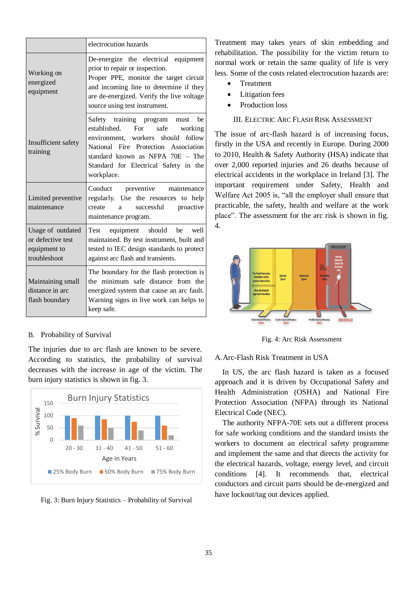|                                                                        | electrocution hazards                                                                                                                                                                                                                              |  |  |
|------------------------------------------------------------------------|----------------------------------------------------------------------------------------------------------------------------------------------------------------------------------------------------------------------------------------------------|--|--|
| Working on<br>energized<br>equipment                                   | De-energize the electrical equipment<br>prior to repair or inspection.<br>Proper PPE, monitor the target circuit<br>and incoming line to determine if they<br>are de-energized. Verify the live voltage<br>source using test instrument.           |  |  |
| Insufficient safety<br>training                                        | Safety training program<br>must be<br>established. For<br>safe<br>working<br>environment, workers should follow<br>National Fire Protection Association<br>standard known as NFPA 70E - The<br>Standard for Electrical Safety in the<br>workplace. |  |  |
| Limited preventive<br>maintenance                                      | Conduct preventive maintenance<br>regularly. Use the resources to help<br>successful<br>proactive<br>create<br>a<br>maintenance program.                                                                                                           |  |  |
| Usage of outdated<br>or defective test<br>equipment to<br>troubleshoot | equipment should be well<br>Test<br>maintained. By test instrument, built and<br>tested to IEC design standards to protect<br>against arc flash and transients.                                                                                    |  |  |
| Maintaining small<br>distance in arc<br>flash boundary                 | The boundary for the flash protection is<br>the minimum safe distance from the<br>energized system that cause an arc fault.<br>Warning signs in live work can helps to<br>keep safe.                                                               |  |  |

#### B. Probability of Survival

The injuries due to arc flash are known to be severe. According to statistics, the probability of survival decreases with the increase in age of the victim. The burn injury statistics is shown in fig. 3.



Fig. 3: Burn Injury Statistics – Probability of Survival

Treatment may takes years of skin embedding and rehabilitation. The possibility for the victim return to normal work or retain the same quality of life is very less. Some of the costs related electrocution hazards are:

- Treatment
- Litigation fees
- Production loss

## III. ELECTRIC ARC FLASH RISK ASSESSMENT

The issue of arc-flash hazard is of increasing focus, firstly in the USA and recently in Europe. During 2000 to 2010, Health & Safety Authority (HSA) indicate that over 2,000 reported injuries and 26 deaths because of electrical accidents in the workplace in Ireland [3]. The important requirement under Safety, Health and Welfare Act 2005 is, "all the employer shall ensure that practicable, the safety, health and welfare at the work place". The assessment for the arc risk is shown in fig. 4.



Fig. 4: Arc Risk Assessment

A.Arc-Flash Risk Treatment in USA

In US, the arc flash hazard is taken as a focused approach and it is driven by Occupational Safety and Health Administration (OSHA) and National Fire Protection Association (NFPA) through its National Electrical Code (NEC).

The authority NFPA-70E sets out a different process for safe working conditions and the standard insists the workers to document an electrical safety programme and implement the same and that directs the activity for the electrical hazards, voltage, energy level, and circuit conditions [4]. It recommends that, electrical conductors and circuit parts should be de-energized and have lockout/tag out devices applied.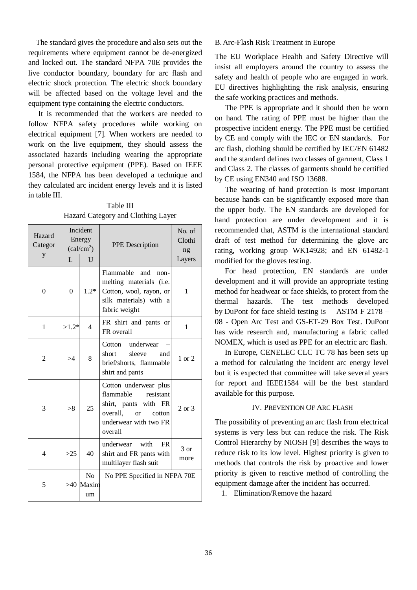The standard gives the procedure and also sets out the requirements where equipment cannot be de-energized and locked out. The standard NFPA 70E provides the live conductor boundary, boundary for arc flash and electric shock protection. The electric shock boundary will be affected based on the voltage level and the equipment type containing the electric conductors.

It is recommended that the workers are needed to follow NFPA safety procedures while working on electrical equipment [7]. When workers are needed to work on the live equipment, they should assess the associated hazards including wearing the appropriate personal protective equipment (PPE). Based on IEEE 1584, the NFPA has been developed a technique and they calculated arc incident energy levels and it is listed in table III.

Table III Hazard Category and Clothing Layer

| Hazard<br>Categor<br>y | Incident<br>Energy<br>$\text{(cal/cm}^2\text{)}$ |                                     | <b>PPE</b> Description                                                                                                                        | No. of<br>Clothi<br>ng |
|------------------------|--------------------------------------------------|-------------------------------------|-----------------------------------------------------------------------------------------------------------------------------------------------|------------------------|
|                        | L                                                | $\overline{U}$                      |                                                                                                                                               | Layers                 |
| $\theta$               | $\theta$                                         | $1.2*$                              | Flammable<br>and<br>$non-$<br>melting materials (i.e.<br>Cotton, wool, rayon, or<br>silk materials) with a<br>fabric weight                   | 1                      |
| 1                      | $>1.2*$                                          | 4                                   | FR shirt and pants or<br>FR overall                                                                                                           | 1                      |
| $\overline{c}$         | >4                                               | 8                                   | Cotton underwear<br>short<br>sleeve<br>and<br>brief/shorts, flammable<br>shirt and pants                                                      | $1$ or $2$             |
| 3                      | > 8                                              | 25                                  | Cotton underwear plus<br>flammable<br>resistant<br>shirt, pants with FR<br>overall,<br>cotton<br>$\alpha$<br>underwear with two FR<br>overall | $2 \text{ or } 3$      |
| $\overline{4}$         | >25                                              | 40                                  | underwear with<br><b>FR</b><br>shirt and FR pants with<br>multilayer flash suit                                                               | $3 \text{ or}$<br>more |
| 5                      |                                                  | N <sub>0</sub><br>$>40$ Maxim<br>um | No PPE Specified in NFPA 70E                                                                                                                  |                        |

#### B.Arc-Flash Risk Treatment in Europe

The EU Workplace Health and Safety Directive will insist all employers around the country to assess the safety and health of people who are engaged in work. EU directives highlighting the risk analysis, ensuring the safe working practices and methods.

The PPE is appropriate and it should then be worn on hand. The rating of PPE must be higher than the prospective incident energy. The PPE must be certified by CE and comply with the IEC or EN standards. For arc flash, clothing should be certified by IEC/EN 61482 and the standard defines two classes of garment, Class 1 and Class 2. The classes of garments should be certified by CE using EN340 and ISO 13688.

The wearing of hand protection is most important because hands can be significantly exposed more than the upper body. The EN standards are developed for hand protection are under development and it is recommended that, ASTM is the international standard draft of test method for determining the glove arc rating, working group WK14928; and EN 61482-1 modified for the gloves testing.

For head protection, EN standards are under development and it will provide an appropriate testing method for headwear or face shields, to protect from the thermal hazards. The test methods developed by DuPont for face shield testing is ASTM F 2178 – 08 - Open Arc Test and GS-ET-29 Box Test. DuPont has wide research and, manufacturing a fabric called NOMEX, which is used as PPE for an electric arc flash.

In Europe, CENELEC CLC TC 78 has been sets up a method for calculating the incident arc energy level but it is expected that committee will take several years for report and IEEE1584 will be the best standard available for this purpose.

#### IV. PREVENTION OF ARC FLASH

The possibility of preventing an arc flash from electrical systems is very less but can reduce the risk. The Risk Control Hierarchy by NIOSH [9] describes the ways to reduce risk to its low level. Highest priority is given to methods that controls the risk by proactive and lower priority is given to reactive method of controlling the equipment damage after the incident has occurred.

1. Elimination/Remove the hazard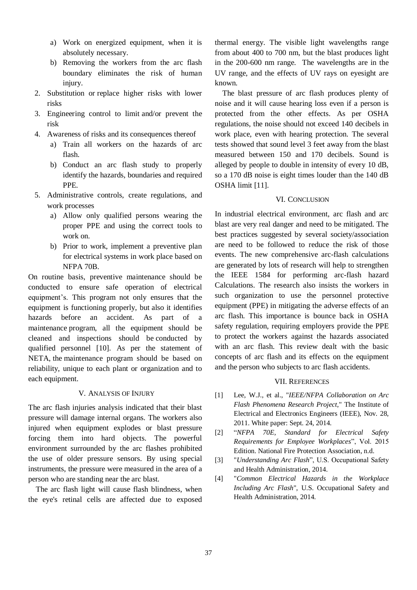- a) Work on energized equipment, when it is absolutely necessary.
- b) Removing the workers from the arc flash boundary eliminates the risk of human injury.
- 2. Substitution or replace higher risks with lower risks
- 3. Engineering control to limit and/or prevent the risk
- 4. Awareness of risks and its consequences thereof
	- a) Train all workers on the hazards of arc flash.
	- b) Conduct an arc flash study to properly identify the hazards, boundaries and required PPE.
- 5. Administrative controls, create regulations, and work processes
	- a) Allow only qualified persons wearing the proper PPE and using the correct tools to work on.
	- b) Prior to work, implement a preventive plan for electrical systems in work place based on NFPA 70B.

On routine basis, preventive maintenance should be conducted to ensure safe operation of electrical equipment's. This program not only ensures that the equipment is functioning properly, but also it identifies hazards before an accident. As part of a maintenance program, all the equipment should be cleaned and inspections should be conducted by qualified personnel [10]. As per the statement of NETA, the maintenance program should be based on reliability, unique to each plant or organization and to each equipment.

#### V. ANALYSIS OF INJURY

The arc flash injuries analysis indicated that their blast pressure will damage internal organs. The workers also injured when equipment explodes or blast pressure forcing them into hard objects. The powerful environment surrounded by the arc flashes prohibited the use of older pressure sensors. By using special instruments, the pressure were measured in the area of a person who are standing near the arc blast.

The arc flash light will cause flash blindness, when the eye's retinal cells are affected due to exposed

thermal energy. The visible light wavelengths range from about 400 to 700 nm, but the blast produces light in the 200-600 nm range. The wavelengths are in the UV range, and the effects of UV rays on eyesight are known.

The blast pressure of arc flash produces plenty of noise and it will cause hearing loss even if a person is protected from the other effects. As per OSHA regulations, the noise should not exceed 140 decibels in work place, even with hearing protection. The several tests showed that sound level 3 feet away from the blast measured between 150 and 170 decibels. Sound is alleged by people to double in intensity of every 10 dB, so a 170 dB noise is eight times louder than the 140 dB OSHA limit [11].

# VI. CONCLUSION

In industrial electrical environment, arc flash and arc blast are very real danger and need to be mitigated. The best practices suggested by several society/association are need to be followed to reduce the risk of those events. The new comprehensive arc-flash calculations are generated by lots of research will help to strengthen the IEEE 1584 for performing arc-flash hazard Calculations. The research also insists the workers in such organization to use the personnel protective equipment (PPE) in mitigating the adverse effects of an arc flash. This importance is bounce back in OSHA safety regulation, requiring employers provide the PPE to protect the workers against the hazards associated with an arc flash. This review dealt with the basic concepts of arc flash and its effects on the equipment and the person who subjects to arc flash accidents.

#### VII. REFERENCES

- [1] Lee, W.J., et al., "*IEEE/NFPA Collaboration on Arc Flash Phenomena Research Project*," The Institute of Electrical and Electronics Engineers (IEEE), Nov. 28, 2011. White paper: Sept. 24, 2014.
- [2] "*NFPA 70E, Standard for Electrical Safety Requirements for Employee Workplaces*", Vol. 2015 Edition. National Fire Protection Association, n.d.
- [3] "*Understanding Arc Flash*", U.S. Occupational Safety and Health Administration, 2014.
- [4] "*Common Electrical Hazards in the Workplace Including Arc Flash*", U.S. Occupational Safety and Health Administration, 2014.